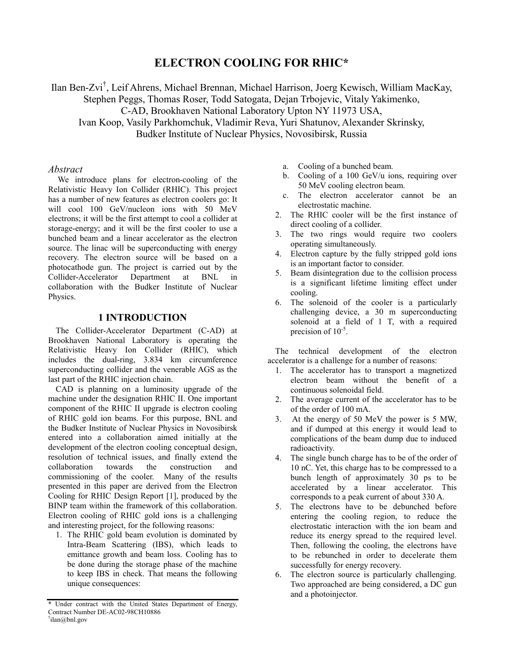# **ELECTRON COOLING FOR RHIC\***

Ilan Ben-Zvi<sup>†</sup>, Leif Ahrens, Michael Brennan, Michael Harrison, Joerg Kewisch, William MacKay, Stephen Peggs, Thomas Roser, Todd Satogata, Dejan Trbojevic, Vitaly Yakimenko, C-AD, Brookhaven National Laboratory Upton NY 11973 USA, Ivan Koop, Vasily Parkhomchuk, Vladimir Reva, Yuri Shatunov, Alexander Skrinsky,

Budker Institute of Nuclear Physics, Novosibirsk, Russia

### *Abstract*

 We introduce plans for electron-cooling of the Relativistic Heavy Ion Collider (RHIC). This project has a number of new features as electron coolers go: It will cool 100 GeV/nucleon ions with 50 MeV electrons; it will be the first attempt to cool a collider at storage-energy; and it will be the first cooler to use a bunched beam and a linear accelerator as the electron source. The linac will be superconducting with energy recovery. The electron source will be based on a photocathode gun. The project is carried out by the Collider-Accelerator Department at BNL in collaboration with the Budker Institute of Nuclear Physics.

# **1 INTRODUCTION**

The Collider-Accelerator Department (C-AD) at Brookhaven National Laboratory is operating the Relativistic Heavy Ion Collider (RHIC), which includes the dual-ring, 3.834 km circumference superconducting collider and the venerable AGS as the last part of the RHIC injection chain.

CAD is planning on a luminosity upgrade of the machine under the designation RHIC II. One important component of the RHIC II upgrade is electron cooling of RHIC gold ion beams. For this purpose, BNL and the Budker Institute of Nuclear Physics in Novosibirsk entered into a collaboration aimed initially at the development of the electron cooling conceptual design, resolution of technical issues, and finally extend the collaboration towards the construction and commissioning of the cooler. Many of the results presented in this paper are derived from the Electron Cooling for RHIC Design Report [1], produced by the BINP team within the framework of this collaboration. Electron cooling of RHIC gold ions is a challenging and interesting project, for the following reasons:

1. The RHIC gold beam evolution is dominated by Intra-Beam Scattering (IBS), which leads to emittance growth and beam loss. Cooling has to be done during the storage phase of the machine to keep IBS in check. That means the following unique consequences:

- a. Cooling of a bunched beam.
- b. Cooling of a 100 GeV/u ions, requiring over 50 MeV cooling electron beam.
- c. The electron accelerator cannot be an electrostatic machine.
- 2. The RHIC cooler will be the first instance of direct cooling of a collider.
- 3. The two rings would require two coolers operating simultaneously.
- 4. Electron capture by the fully stripped gold ions is an important factor to consider.
- 5. Beam disintegration due to the collision process is a significant lifetime limiting effect under cooling.
- 6. The solenoid of the cooler is a particularly challenging device, a 30 m superconducting solenoid at a field of 1 T, with a required precision of  $10^{-5}$ .

The technical development of the electron accelerator is a challenge for a number of reasons:

- 1. The accelerator has to transport a magnetized electron beam without the benefit of a continuous solenoidal field.
- 2. The average current of the accelerator has to be of the order of 100 mA.
- 3. At the energy of 50 MeV the power is 5 MW, and if dumped at this energy it would lead to complications of the beam dump due to induced radioactivity.
- 4. The single bunch charge has to be of the order of 10 nC. Yet, this charge has to be compressed to a bunch length of approximately 30 ps to be accelerated by a linear accelerator. This corresponds to a peak current of about 330 A.
- 5. The electrons have to be debunched before entering the cooling region, to reduce the electrostatic interaction with the ion beam and reduce its energy spread to the required level. Then, following the cooling, the electrons have to be rebunched in order to decelerate them successfully for energy recovery.
- 6. The electron source is particularly challenging. Two approached are being considered, a DC gun and a photoinjector.

<sup>\*</sup> Under contract with the United States Department of Energy, Contract Number DE-AC02-98CH10886  $\dagger$ ilan@bnl.gov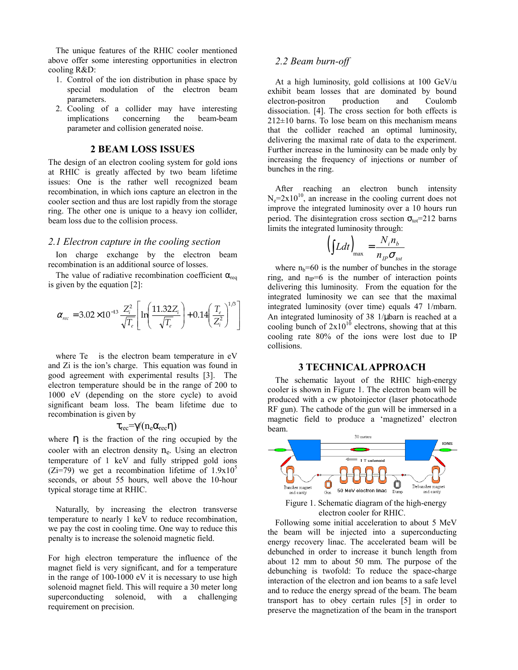The unique features of the RHIC cooler mentioned above offer some interesting opportunities in electron cooling R&D:

- 1. Control of the ion distribution in phase space by special modulation of the electron beam parameters.
- 2. Cooling of a collider may have interesting implications concerning the beam-beam parameter and collision generated noise.

#### **2 BEAM LOSS ISSUES**

The design of an electron cooling system for gold ions at RHIC is greatly affected by two beam lifetime issues: One is the rather well recognized beam recombination, in which ions capture an electron in the cooler section and thus are lost rapidly from the storage ring. The other one is unique to a heavy ion collider, beam loss due to the collision process.

# *2.1 Electron capture in the cooling section*

Ion charge exchange by the electron beam recombination is an additional source of losses.

The value of radiative recombination coefficient  $\alpha_{\text{req}}$ is given by the equation [2]:

$$
\alpha_{rec} = 3.02 \times 10^{-13} \frac{Z_i^2}{\sqrt{T_e}} \left[ \ln \left( \frac{11.32 Z_i}{\sqrt{T_e}} \right) + 0.14 \left( \frac{T_e}{Z_i^2} \right)^{1/3} \right]
$$

where Te is the electron beam temperature in eV and Zi is the ion's charge. This equation was found in good agreement with experimental results [3]. The electron temperature should be in the range of 200 to 1000 eV (depending on the store cycle) to avoid significant beam loss. The beam lifetime due to recombination is given by

# $\tau_{\text{rec}} = \gamma/(n_e \alpha_{\text{rec}} \eta)$

where  $\eta$  is the fraction of the ring occupied by the cooler with an electron density  $n_e$ . Using an electron temperature of 1 keV and fully stripped gold ions (Zi=79) we get a recombination lifetime of  $1.9x10<sup>5</sup>$ seconds, or about 55 hours, well above the 10-hour typical storage time at RHIC.

Naturally, by increasing the electron transverse temperature to nearly 1 keV to reduce recombination, we pay the cost in cooling time. One way to reduce this penalty is to increase the solenoid magnetic field.

For high electron temperature the influence of the magnet field is very significant, and for a temperature in the range of 100-1000 eV it is necessary to use high solenoid magnet field. This will require a 30 meter long superconducting solenoid, with a challenging requirement on precision.

# *2.2 Beam burn-off*

At a high luminosity, gold collisions at 100 GeV/u exhibit beam losses that are dominated by bound electron-positron production and Coulomb dissociation. [4]. The cross section for both effects is  $212\pm10$  barns. To lose beam on this mechanism means that the collider reached an optimal luminosity, delivering the maximal rate of data to the experiment. Further increase in the luminosity can be made only by increasing the frequency of injections or number of bunches in the ring.

After reaching an electron bunch intensity  $N_e=2x10^{10}$ , an increase in the cooling current does not improve the integrated luminosity over a 10 hours run period. The disintegration cross section  $\sigma_{\text{tot}}$ =212 barns limits the integrated luminosity through:

$$
\left(\int Ldt\right)_{\text{max}} = \frac{N_i n_b}{n_{IP} \sigma_{tot}}
$$

where  $n_b=60$  is the number of bunches in the storage ring, and  $n_{IP}=6$  is the number of interaction points delivering this luminosity. From the equation for the integrated luminosity we can see that the maximal integrated luminosity (over time) equals 47 1/mbarn. An integrated luminosity of 38 1/µbarn is reached at a cooling bunch of  $2x10^{10}$  electrons, showing that at this cooling rate 80% of the ions were lost due to IP collisions.

# **3 TECHNICAL APPROACH**

The schematic layout of the RHIC high-energy cooler is shown in Figure 1. The electron beam will be produced with a cw photoinjector (laser photocathode RF gun). The cathode of the gun will be immersed in a magnetic field to produce a 'magnetized' electron beam.



electron cooler for RHIC.

Following some initial acceleration to about 5 MeV the beam will be injected into a superconducting energy recovery linac. The accelerated beam will be debunched in order to increase it bunch length from about 12 mm to about 50 mm. The purpose of the debunching is twofold: To reduce the space-charge interaction of the electron and ion beams to a safe level and to reduce the energy spread of the beam. The beam transport has to obey certain rules [5] in order to preserve the magnetization of the beam in the transport